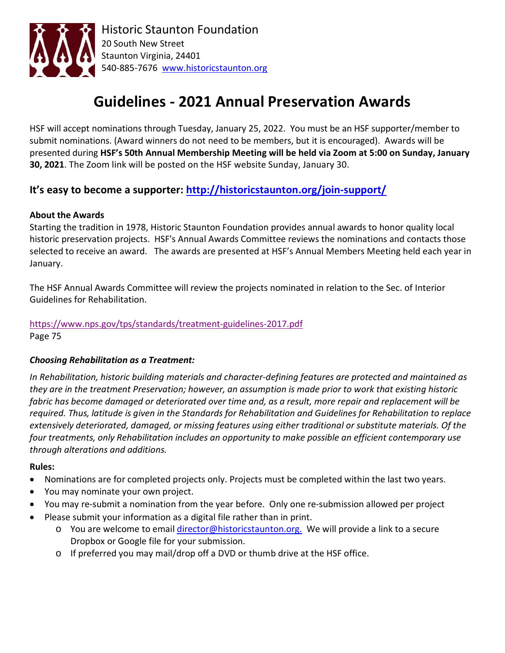

# **Guidelines - 2021 Annual Preservation Awards**

HSF will accept nominations through Tuesday, January 25, 2022. You must be an HSF supporter/member to submit nominations. (Award winners do not need to be members, but it is encouraged). Awards will be presented during **HSF's 50th Annual Membership Meeting will be held via Zoom at 5:00 on Sunday, January 30, 2021**. The Zoom link will be posted on the HSF website Sunday, January 30.

### **It's easy to become a supporter:<http://historicstaunton.org/join-support/>**

#### **About the Awards**

Starting the tradition in 1978, Historic Staunton Foundation provides annual awards to honor quality local historic preservation projects. HSF's Annual Awards Committee reviews the nominations and contacts those selected to receive an award. The awards are presented at HSF's Annual Members Meeting held each year in January.

The HSF Annual Awards Committee will review the projects nominated in relation to the Sec. of Interior Guidelines for Rehabilitation.

# <https://www.nps.gov/tps/standards/treatment-guidelines-2017.pdf>

Page 75

#### *Choosing Rehabilitation as a Treatment:*

*In Rehabilitation, historic building materials and character-defining features are protected and maintained as they are in the treatment Preservation; however, an assumption is made prior to work that existing historic fabric has become damaged or deteriorated over time and, as a result, more repair and replacement will be required. Thus, latitude is given in the Standards for Rehabilitation and Guidelines for Rehabilitation to replace extensively deteriorated, damaged, or missing features using either traditional or substitute materials. Of the four treatments, only Rehabilitation includes an opportunity to make possible an efficient contemporary use through alterations and additions.*

#### **Rules:**

- Nominations are for completed projects only. Projects must be completed within the last two years.
- You may nominate your own project.
- You may re-submit a nomination from the year before. Only one re-submission allowed per project
- Please submit your information as a digital file rather than in print.
	- o You are welcome to email [director@historicstaunton.org.](mailto:director@historicstaunton.org) We will provide a link to a secure Dropbox or Google file for your submission.
	- o If preferred you may mail/drop off a DVD or thumb drive at the HSF office.